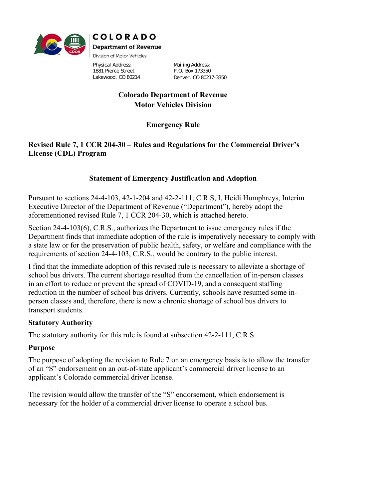

Physical Address: 1881 Pierce Street Lakewood, CO 80214

Mailing Address: P.O. Box 173350 Denver, CO 80217-3350

#### **Colorado Department of Revenue Motor Vehicles Division**

# **Emergency Rule**

## **Revised Rule 7, 1 CCR 204-30 – Rules and Regulations for the Commercial Driver's License (CDL) Program**

## **Statement of Emergency Justification and Adoption**

Pursuant to sections 24-4-103, 42-1-204 and 42-2-111, C.R.S, I, Heidi Humphreys, Interim Executive Director of the Department of Revenue ("Department"), hereby adopt the aforementioned revised Rule 7, 1 CCR 204-30, which is attached hereto.

Section 24-4-103(6), C.R.S., authorizes the Department to issue emergency rules if the Department finds that immediate adoption of the rule is imperatively necessary to comply with a state law or for the preservation of public health, safety, or welfare and compliance with the requirements of section 24-4-103, C.R.S., would be contrary to the public interest.

I find that the immediate adoption of this revised rule is necessary to alleviate a shortage of school bus drivers. The current shortage resulted from the cancellation of in-person classes in an effort to reduce or prevent the spread of COVID-19, and a consequent staffing reduction in the number of school bus drivers. Currently, schools have resumed some inperson classes and, therefore, there is now a chronic shortage of school bus drivers to transport students.

#### **Statutory Authority**

The statutory authority for this rule is found at subsection 42-2-111, C.R.S.

## **Purpose**

The purpose of adopting the revision to Rule 7 on an emergency basis is to allow the transfer of an "S" endorsement on an out-of-state applicant's commercial driver license to an applicant's Colorado commercial driver license.

The revision would allow the transfer of the "S" endorsement, which endorsement is necessary for the holder of a commercial driver license to operate a school bus.